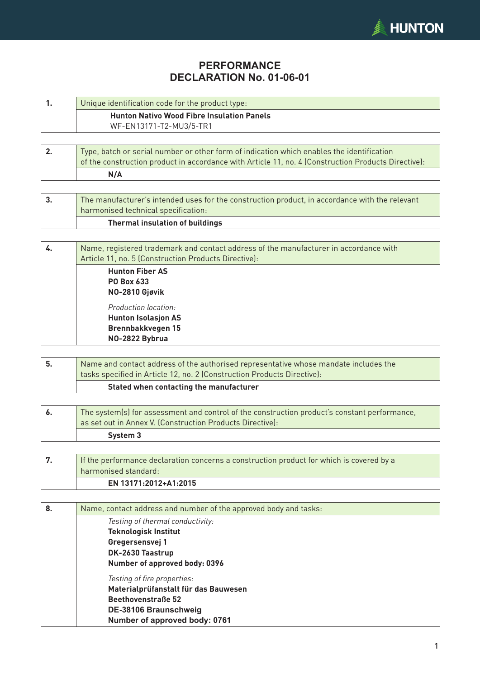

## **PERFORMANCE DECLARATION No. 01-06-01**

| 1. | Unique identification code for the product type:                                                                                              |  |  |  |  |  |
|----|-----------------------------------------------------------------------------------------------------------------------------------------------|--|--|--|--|--|
|    | <b>Hunton Nativo Wood Fibre Insulation Panels</b>                                                                                             |  |  |  |  |  |
|    | WF-EN13171-T2-MU3/5-TR1                                                                                                                       |  |  |  |  |  |
|    |                                                                                                                                               |  |  |  |  |  |
| 2. | Type, batch or serial number or other form of indication which enables the identification                                                     |  |  |  |  |  |
|    | of the construction product in accordance with Article 11, no. 4 (Construction Products Directive):<br>N/A                                    |  |  |  |  |  |
|    |                                                                                                                                               |  |  |  |  |  |
| 3. | The manufacturer's intended uses for the construction product, in accordance with the relevant                                                |  |  |  |  |  |
|    | harmonised technical specification:                                                                                                           |  |  |  |  |  |
|    | <b>Thermal insulation of buildings</b>                                                                                                        |  |  |  |  |  |
|    |                                                                                                                                               |  |  |  |  |  |
| 4. | Name, registered trademark and contact address of the manufacturer in accordance with<br>Article 11, no. 5 (Construction Products Directive): |  |  |  |  |  |
|    | <b>Hunton Fiber AS</b>                                                                                                                        |  |  |  |  |  |
|    | PO Box 633                                                                                                                                    |  |  |  |  |  |
|    | NO-2810 Gjøvik                                                                                                                                |  |  |  |  |  |
|    | Production location:                                                                                                                          |  |  |  |  |  |
|    | <b>Hunton Isolasjon AS</b>                                                                                                                    |  |  |  |  |  |
|    | <b>Brennbakkvegen 15</b><br>NO-2822 Bybrua                                                                                                    |  |  |  |  |  |
|    |                                                                                                                                               |  |  |  |  |  |
| 5. | Name and contact address of the authorised representative whose mandate includes the                                                          |  |  |  |  |  |
|    | tasks specified in Article 12, no. 2 (Construction Products Directive):                                                                       |  |  |  |  |  |
|    | Stated when contacting the manufacturer                                                                                                       |  |  |  |  |  |
|    |                                                                                                                                               |  |  |  |  |  |
| 6. | The system(s) for assessment and control of the construction product's constant performance,                                                  |  |  |  |  |  |
|    | as set out in Annex V. (Construction Products Directive):                                                                                     |  |  |  |  |  |
|    | System 3                                                                                                                                      |  |  |  |  |  |
|    |                                                                                                                                               |  |  |  |  |  |
| 7. | If the performance declaration concerns a construction product for which is covered by a<br>harmonised standard:                              |  |  |  |  |  |
|    | EN 13171:2012+A1:2015                                                                                                                         |  |  |  |  |  |
|    |                                                                                                                                               |  |  |  |  |  |
| 8. | Name, contact address and number of the approved body and tasks:                                                                              |  |  |  |  |  |
|    | Testing of thermal conductivity:                                                                                                              |  |  |  |  |  |
|    | <b>Teknologisk Institut</b>                                                                                                                   |  |  |  |  |  |
|    | Gregersensvej 1                                                                                                                               |  |  |  |  |  |
|    | DK-2630 Taastrup                                                                                                                              |  |  |  |  |  |
|    | Number of approved body: 0396                                                                                                                 |  |  |  |  |  |
|    | Testing of fire properties:                                                                                                                   |  |  |  |  |  |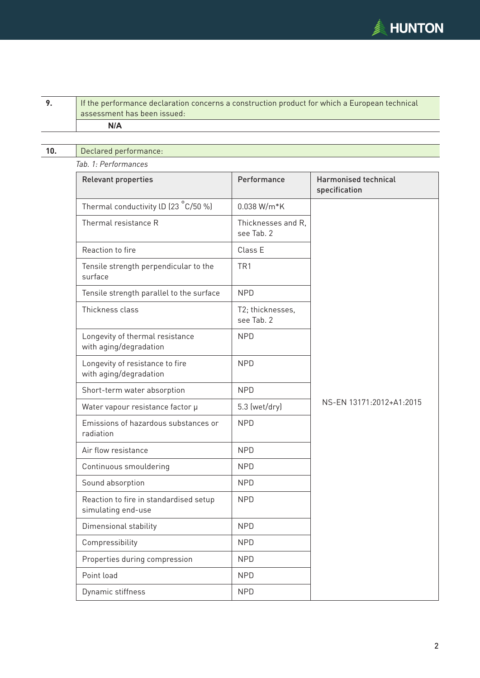

| 9.  | If the performance declaration concerns a construction product for which a European technical<br>assessment has been issued: |                                  |                                              |  |  |
|-----|------------------------------------------------------------------------------------------------------------------------------|----------------------------------|----------------------------------------------|--|--|
|     | N/A                                                                                                                          |                                  |                                              |  |  |
| 10. | Declared performance:                                                                                                        |                                  |                                              |  |  |
|     | Tab. 1: Performances                                                                                                         |                                  |                                              |  |  |
|     | <b>Relevant properties</b>                                                                                                   | Performance                      | <b>Harmonised technical</b><br>specification |  |  |
|     | Thermal conductivity ID (23 °C/50 %)                                                                                         | 0.038 W/m*K                      |                                              |  |  |
|     | Thermal resistance R                                                                                                         | Thicknesses and R,<br>see Tab. 2 |                                              |  |  |
|     | Reaction to fire                                                                                                             | Class E                          |                                              |  |  |
|     | Tensile strength perpendicular to the<br>surface                                                                             | TR <sub>1</sub>                  |                                              |  |  |
|     | Tensile strength parallel to the surface                                                                                     | <b>NPD</b>                       |                                              |  |  |
|     | Thickness class                                                                                                              | T2; thicknesses,<br>see Tab. 2   |                                              |  |  |
|     | Longevity of thermal resistance<br>with aging/degradation                                                                    | <b>NPD</b>                       |                                              |  |  |
|     | Longevity of resistance to fire<br>with aging/degradation                                                                    | <b>NPD</b>                       |                                              |  |  |
|     | Short-term water absorption                                                                                                  | <b>NPD</b>                       |                                              |  |  |
|     | Water vapour resistance factor µ                                                                                             | 5.3 (wet/dry)                    | NS-EN 13171:2012+A1:2015                     |  |  |
|     | Emissions of hazardous substances or<br>radiation                                                                            | <b>NPD</b>                       |                                              |  |  |
|     | Air flow resistance                                                                                                          | <b>NPD</b>                       |                                              |  |  |
|     | Continuous smouldering                                                                                                       | <b>NPD</b>                       |                                              |  |  |
|     | Sound absorption                                                                                                             | <b>NPD</b>                       |                                              |  |  |
|     | Reaction to fire in standardised setup<br>simulating end-use                                                                 | <b>NPD</b>                       |                                              |  |  |
|     | Dimensional stability                                                                                                        | <b>NPD</b>                       |                                              |  |  |
|     | Compressibility                                                                                                              | <b>NPD</b>                       |                                              |  |  |
|     | Properties during compression                                                                                                | <b>NPD</b>                       |                                              |  |  |
|     | Point load                                                                                                                   | <b>NPD</b>                       |                                              |  |  |
|     | Dynamic stiffness                                                                                                            | <b>NPD</b>                       |                                              |  |  |